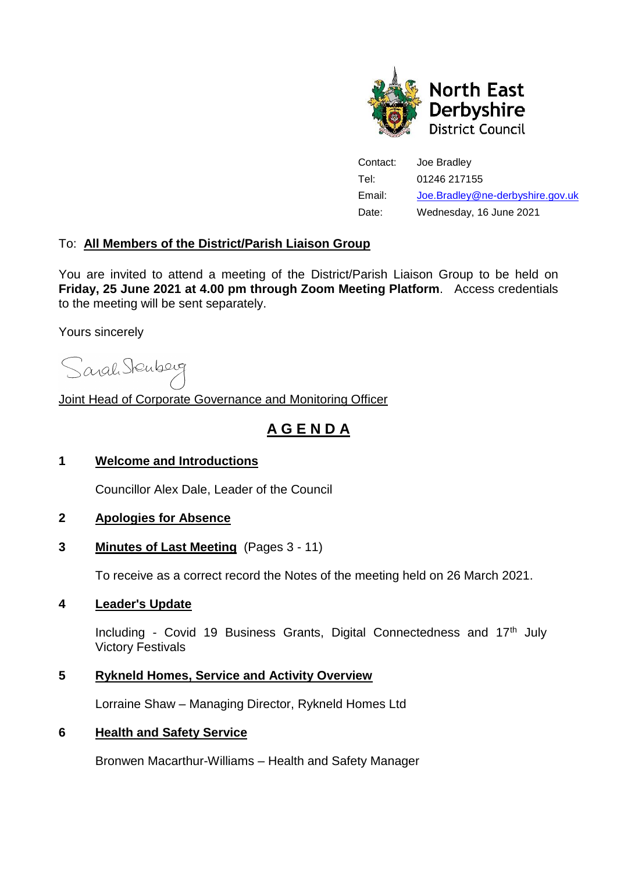

Contact: Joe Bradley Tel: 01246 217155 Email: [Joe.Bradley@ne-derbyshire.gov.uk](mailto:Joe.Bradley@ne-derbyshire.gov.uk) Date: Wednesday, 16 June 2021

# To: **All Members of the District/Parish Liaison Group**

You are invited to attend a meeting of the District/Parish Liaison Group to be held on **Friday, 25 June 2021 at 4.00 pm through Zoom Meeting Platform**. Access credentials to the meeting will be sent separately.

Yours sincerely

Sarah Stenberg

Joint Head of Corporate Governance and Monitoring Officer

# **A G E N D A**

# **1 Welcome and Introductions**

Councillor Alex Dale, Leader of the Council

#### **2 Apologies for Absence**

#### **3 Minutes of Last Meeting** (Pages 3 - 11)

To receive as a correct record the Notes of the meeting held on 26 March 2021.

#### **4 Leader's Update**

Including - Covid 19 Business Grants, Digital Connectedness and 17<sup>th</sup> July Victory Festivals

# **5 Rykneld Homes, Service and Activity Overview**

Lorraine Shaw – Managing Director, Rykneld Homes Ltd

#### **6 Health and Safety Service**

Bronwen Macarthur-Williams – Health and Safety Manager